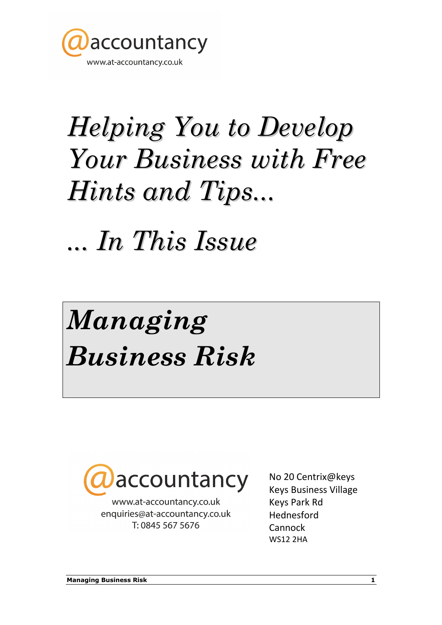

# Helping You to Develop Your Business with Free Hints and Tips...

... In This Issue

# Managing Business Risk



www.at-accountancy.co.uk enquiries@at-accountancy.co.uk T: 0845 567 5676

No 20 Centrix@keys Keys Business Village Keys Park Rd Hednesford Cannock WS12 2HA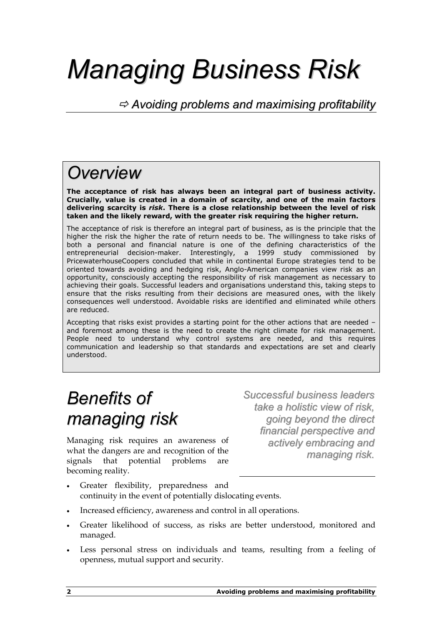## Managing Business Risk

 $\Rightarrow$  Avoiding problems and maximising profitability

### **Overview**

The acceptance of risk has always been an integral part of business activity. Crucially, value is created in a domain of scarcity, and one of the main factors delivering scarcity is risk. There is a close relationship between the level of risk taken and the likely reward, with the greater risk requiring the higher return.

The acceptance of risk is therefore an integral part of business, as is the principle that the higher the risk the higher the rate of return needs to be. The willingness to take risks of both a personal and financial nature is one of the defining characteristics of the entrepreneurial decision-maker. Interestingly, a 1999 study commissioned by PricewaterhouseCoopers concluded that while in continental Europe strategies tend to be oriented towards avoiding and hedging risk, Anglo-American companies view risk as an opportunity, consciously accepting the responsibility of risk management as necessary to achieving their goals. Successful leaders and organisations understand this, taking steps to ensure that the risks resulting from their decisions are measured ones, with the likely consequences well understood. Avoidable risks are identified and eliminated while others are reduced.

Accepting that risks exist provides a starting point for the other actions that are needed – and foremost among these is the need to create the right climate for risk management. People need to understand why control systems are needed, and this requires communication and leadership so that standards and expectations are set and clearly understood.

### Benefits of managing risk

Managing risk requires an awareness of what the dangers are and recognition of the signals that potential problems are becoming reality.

Successful business leaders take a holistic view of risk, going beyond the direct financial perspective and actively embracing and managing risk.

- Greater flexibility, preparedness and continuity in the event of potentially dislocating events.
- Increased efficiency, awareness and control in all operations.
- Greater likelihood of success, as risks are better understood, monitored and managed.
- Less personal stress on individuals and teams, resulting from a feeling of openness, mutual support and security.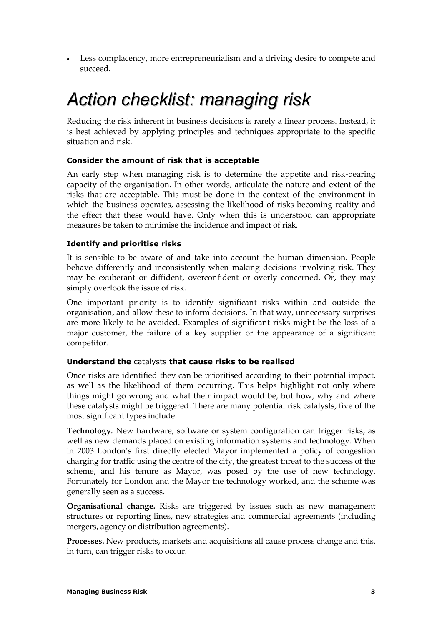• Less complacency, more entrepreneurialism and a driving desire to compete and succeed.

### Action checklist: managing risk

Reducing the risk inherent in business decisions is rarely a linear process. Instead, it is best achieved by applying principles and techniques appropriate to the specific situation and risk.

### Consider the amount of risk that is acceptable

An early step when managing risk is to determine the appetite and risk-bearing capacity of the organisation. In other words, articulate the nature and extent of the risks that are acceptable. This must be done in the context of the environment in which the business operates, assessing the likelihood of risks becoming reality and the effect that these would have. Only when this is understood can appropriate measures be taken to minimise the incidence and impact of risk.

### Identify and prioritise risks

It is sensible to be aware of and take into account the human dimension. People behave differently and inconsistently when making decisions involving risk. They may be exuberant or diffident, overconfident or overly concerned. Or, they may simply overlook the issue of risk.

One important priority is to identify significant risks within and outside the organisation, and allow these to inform decisions. In that way, unnecessary surprises are more likely to be avoided. Examples of significant risks might be the loss of a major customer, the failure of a key supplier or the appearance of a significant competitor.

### Understand the catalysts that cause risks to be realised

Once risks are identified they can be prioritised according to their potential impact, as well as the likelihood of them occurring. This helps highlight not only where things might go wrong and what their impact would be, but how, why and where these catalysts might be triggered. There are many potential risk catalysts, five of the most significant types include:

Technology. New hardware, software or system configuration can trigger risks, as well as new demands placed on existing information systems and technology. When in 2003 London's first directly elected Mayor implemented a policy of congestion charging for traffic using the centre of the city, the greatest threat to the success of the scheme, and his tenure as Mayor, was posed by the use of new technology. Fortunately for London and the Mayor the technology worked, and the scheme was generally seen as a success.

Organisational change. Risks are triggered by issues such as new management structures or reporting lines, new strategies and commercial agreements (including mergers, agency or distribution agreements).

Processes. New products, markets and acquisitions all cause process change and this, in turn, can trigger risks to occur.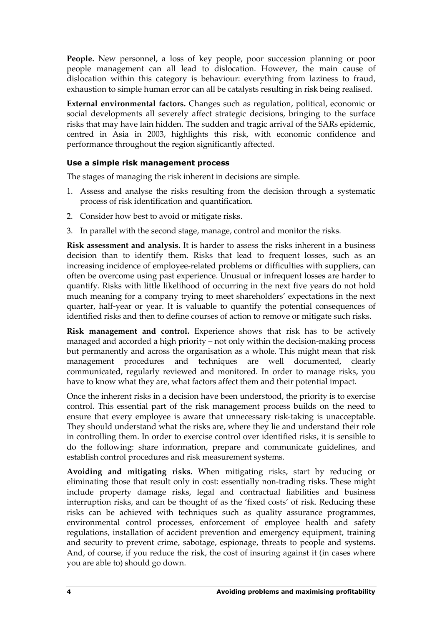People. New personnel, a loss of key people, poor succession planning or poor people management can all lead to dislocation. However, the main cause of dislocation within this category is behaviour: everything from laziness to fraud, exhaustion to simple human error can all be catalysts resulting in risk being realised.

External environmental factors. Changes such as regulation, political, economic or social developments all severely affect strategic decisions, bringing to the surface risks that may have lain hidden. The sudden and tragic arrival of the SARs epidemic, centred in Asia in 2003, highlights this risk, with economic confidence and performance throughout the region significantly affected.

### Use a simple risk management process

The stages of managing the risk inherent in decisions are simple.

- 1. Assess and analyse the risks resulting from the decision through a systematic process of risk identification and quantification.
- 2. Consider how best to avoid or mitigate risks.
- 3. In parallel with the second stage, manage, control and monitor the risks.

Risk assessment and analysis. It is harder to assess the risks inherent in a business decision than to identify them. Risks that lead to frequent losses, such as an increasing incidence of employee-related problems or difficulties with suppliers, can often be overcome using past experience. Unusual or infrequent losses are harder to quantify. Risks with little likelihood of occurring in the next five years do not hold much meaning for a company trying to meet shareholders' expectations in the next quarter, half-year or year. It is valuable to quantify the potential consequences of identified risks and then to define courses of action to remove or mitigate such risks.

Risk management and control. Experience shows that risk has to be actively managed and accorded a high priority – not only within the decision-making process but permanently and across the organisation as a whole. This might mean that risk management procedures and techniques are well documented, clearly communicated, regularly reviewed and monitored. In order to manage risks, you have to know what they are, what factors affect them and their potential impact.

Once the inherent risks in a decision have been understood, the priority is to exercise control. This essential part of the risk management process builds on the need to ensure that every employee is aware that unnecessary risk-taking is unacceptable. They should understand what the risks are, where they lie and understand their role in controlling them. In order to exercise control over identified risks, it is sensible to do the following: share information, prepare and communicate guidelines, and establish control procedures and risk measurement systems.

Avoiding and mitigating risks. When mitigating risks, start by reducing or eliminating those that result only in cost: essentially non-trading risks. These might include property damage risks, legal and contractual liabilities and business interruption risks, and can be thought of as the 'fixed costs' of risk. Reducing these risks can be achieved with techniques such as quality assurance programmes, environmental control processes, enforcement of employee health and safety regulations, installation of accident prevention and emergency equipment, training and security to prevent crime, sabotage, espionage, threats to people and systems. And, of course, if you reduce the risk, the cost of insuring against it (in cases where you are able to) should go down.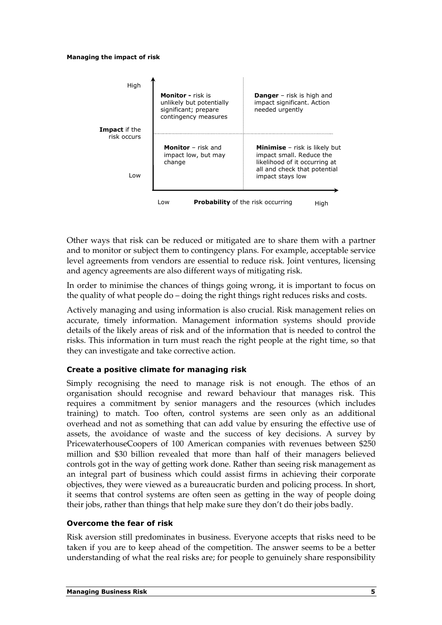#### Managing the impact of risk



Low **Probability** of the risk occurring High

Other ways that risk can be reduced or mitigated are to share them with a partner and to monitor or subject them to contingency plans. For example, acceptable service level agreements from vendors are essential to reduce risk. Joint ventures, licensing and agency agreements are also different ways of mitigating risk.

In order to minimise the chances of things going wrong, it is important to focus on the quality of what people do – doing the right things right reduces risks and costs.

Actively managing and using information is also crucial. Risk management relies on accurate, timely information. Management information systems should provide details of the likely areas of risk and of the information that is needed to control the risks. This information in turn must reach the right people at the right time, so that they can investigate and take corrective action.

### Create a positive climate for managing risk

Simply recognising the need to manage risk is not enough. The ethos of an organisation should recognise and reward behaviour that manages risk. This requires a commitment by senior managers and the resources (which includes training) to match. Too often, control systems are seen only as an additional overhead and not as something that can add value by ensuring the effective use of assets, the avoidance of waste and the success of key decisions. A survey by PricewaterhouseCoopers of 100 American companies with revenues between \$250 million and \$30 billion revealed that more than half of their managers believed controls got in the way of getting work done. Rather than seeing risk management as an integral part of business which could assist firms in achieving their corporate objectives, they were viewed as a bureaucratic burden and policing process. In short, it seems that control systems are often seen as getting in the way of people doing their jobs, rather than things that help make sure they don't do their jobs badly.

#### Overcome the fear of risk

Risk aversion still predominates in business. Everyone accepts that risks need to be taken if you are to keep ahead of the competition. The answer seems to be a better understanding of what the real risks are; for people to genuinely share responsibility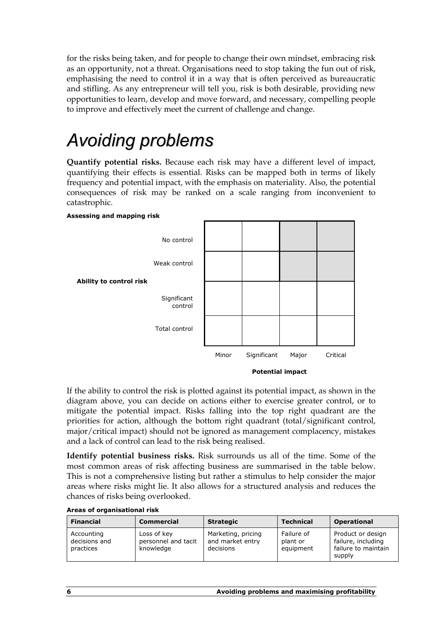for the risks being taken, and for people to change their own mindset, embracing risk as an opportunity, not a threat. Organisations need to stop taking the fun out of risk, emphasising the need to control it in a way that is often perceived as bureaucratic and stifling. As any entrepreneur will tell you, risk is both desirable, providing new opportunities to learn, develop and move forward, and necessary, compelling people to improve and effectively meet the current of challenge and change.

### Avoiding problems

Quantify potential risks. Because each risk may have a different level of impact, quantifying their effects is essential. Risks can be mapped both in terms of likely frequency and potential impact, with the emphasis on materiality. Also, the potential consequences of risk may be ranked on a scale ranging from inconvenient to catastrophic.



If the ability to control the risk is plotted against its potential impact, as shown in the diagram above, you can decide on actions either to exercise greater control, or to mitigate the potential impact. Risks falling into the top right quadrant are the priorities for action, although the bottom right quadrant (total/significant control, major/critical impact) should not be ignored as management complacency, mistakes and a lack of control can lead to the risk being realised.

Identify potential business risks. Risk surrounds us all of the time. Some of the most common areas of risk affecting business are summarised in the table below. This is not a comprehensive listing but rather a stimulus to help consider the major areas where risks might lie. It also allows for a structured analysis and reduces the chances of risks being overlooked.

| <b>Financial</b>                         | <b>Commercial</b>                               | <b>Strategic</b>                                    | <b>Technical</b>                    | <b>Operational</b>                                                       |
|------------------------------------------|-------------------------------------------------|-----------------------------------------------------|-------------------------------------|--------------------------------------------------------------------------|
| Accounting<br>decisions and<br>practices | Loss of key<br>personnel and tacit<br>knowledge | Marketing, pricing<br>and market entry<br>decisions | Failure of<br>plant or<br>equipment | Product or design<br>failure, including<br>failure to maintain<br>supply |

#### Areas of organisational risk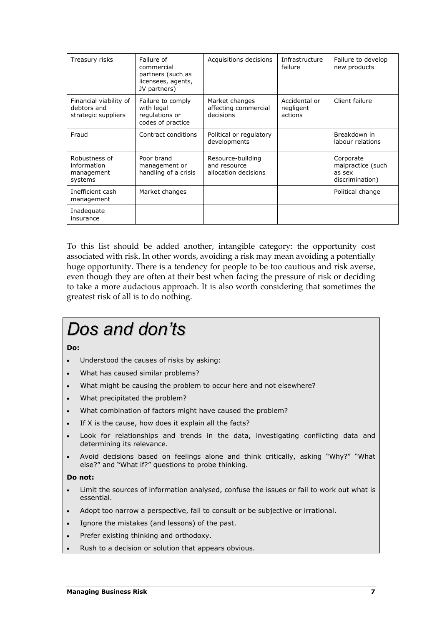| Treasury risks                                               | Failure of<br>commercial<br>partners (such as<br>licensees, agents,<br>JV partners) | Acquisitions decisions                                    | Infrastructure<br>failure             | Failure to develop<br>new products                          |
|--------------------------------------------------------------|-------------------------------------------------------------------------------------|-----------------------------------------------------------|---------------------------------------|-------------------------------------------------------------|
| Financial viability of<br>debtors and<br>strategic suppliers | Failure to comply<br>with legal<br>regulations or<br>codes of practice              | Market changes<br>affecting commercial<br>decisions       | Accidental or<br>negligent<br>actions | Client failure                                              |
| Fraud                                                        | Contract conditions                                                                 | Political or regulatory<br>developments                   |                                       | Breakdown in<br>labour relations                            |
| Robustness of<br>information<br>management<br>systems        | Poor brand<br>management or<br>handling of a crisis                                 | Resource-building<br>and resource<br>allocation decisions |                                       | Corporate<br>malpractice (such<br>as sex<br>discrimination) |
| Inefficient cash<br>management                               | Market changes                                                                      |                                                           |                                       | Political change                                            |
| Inadequate<br>insurance                                      |                                                                                     |                                                           |                                       |                                                             |

To this list should be added another, intangible category: the opportunity cost associated with risk. In other words, avoiding a risk may mean avoiding a potentially huge opportunity. There is a tendency for people to be too cautious and risk averse, even though they are often at their best when facing the pressure of risk or deciding to take a more audacious approach. It is also worth considering that sometimes the greatest risk of all is to do nothing.

### Dos and don'ts

#### Do:

- Understood the causes of risks by asking:
- What has caused similar problems?
- What might be causing the problem to occur here and not elsewhere?
- What precipitated the problem?
- What combination of factors might have caused the problem?
- If X is the cause, how does it explain all the facts?
- Look for relationships and trends in the data, investigating conflicting data and determining its relevance.
- Avoid decisions based on feelings alone and think critically, asking "Why?" "What else?" and "What if?" questions to probe thinking.

### Do not:

- Limit the sources of information analysed, confuse the issues or fail to work out what is essential.
- Adopt too narrow a perspective, fail to consult or be subjective or irrational.
- Ignore the mistakes (and lessons) of the past.
- Prefer existing thinking and orthodoxy.
- Rush to a decision or solution that appears obvious.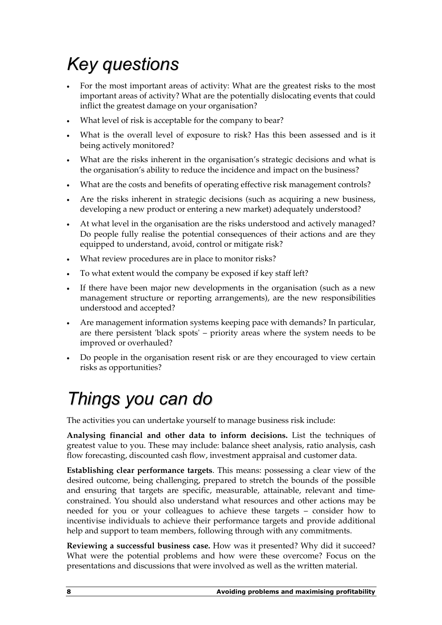### Key questions

- For the most important areas of activity: What are the greatest risks to the most important areas of activity? What are the potentially dislocating events that could inflict the greatest damage on your organisation?
- What level of risk is acceptable for the company to bear?
- What is the overall level of exposure to risk? Has this been assessed and is it being actively monitored?
- What are the risks inherent in the organisation's strategic decisions and what is the organisation's ability to reduce the incidence and impact on the business?
- What are the costs and benefits of operating effective risk management controls?
- Are the risks inherent in strategic decisions (such as acquiring a new business, developing a new product or entering a new market) adequately understood?
- At what level in the organisation are the risks understood and actively managed? Do people fully realise the potential consequences of their actions and are they equipped to understand, avoid, control or mitigate risk?
- What review procedures are in place to monitor risks?
- To what extent would the company be exposed if key staff left?
- If there have been major new developments in the organisation (such as a new management structure or reporting arrangements), are the new responsibilities understood and accepted?
- Are management information systems keeping pace with demands? In particular, are there persistent 'black spots' – priority areas where the system needs to be improved or overhauled?
- Do people in the organisation resent risk or are they encouraged to view certain risks as opportunities?

### Things you can do

The activities you can undertake yourself to manage business risk include:

Analysing financial and other data to inform decisions. List the techniques of greatest value to you. These may include: balance sheet analysis, ratio analysis, cash flow forecasting, discounted cash flow, investment appraisal and customer data.

Establishing clear performance targets. This means: possessing a clear view of the desired outcome, being challenging, prepared to stretch the bounds of the possible and ensuring that targets are specific, measurable, attainable, relevant and timeconstrained. You should also understand what resources and other actions may be needed for you or your colleagues to achieve these targets – consider how to incentivise individuals to achieve their performance targets and provide additional help and support to team members, following through with any commitments.

Reviewing a successful business case. How was it presented? Why did it succeed? What were the potential problems and how were these overcome? Focus on the presentations and discussions that were involved as well as the written material.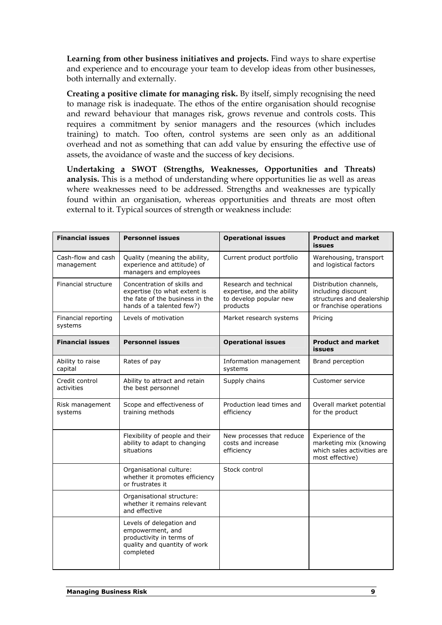Learning from other business initiatives and projects. Find ways to share expertise and experience and to encourage your team to develop ideas from other businesses, both internally and externally.

Creating a positive climate for managing risk. By itself, simply recognising the need to manage risk is inadequate. The ethos of the entire organisation should recognise and reward behaviour that manages risk, grows revenue and controls costs. This requires a commitment by senior managers and the resources (which includes training) to match. Too often, control systems are seen only as an additional overhead and not as something that can add value by ensuring the effective use of assets, the avoidance of waste and the success of key decisions.

Undertaking a SWOT (Strengths, Weaknesses, Opportunities and Threats) analysis. This is a method of understanding where opportunities lie as well as areas where weaknesses need to be addressed. Strengths and weaknesses are typically found within an organisation, whereas opportunities and threats are most often external to it. Typical sources of strength or weakness include:

| <b>Financial issues</b>          | <b>Personnel issues</b>                                                                                                     | <b>Operational issues</b>                                                                  | <b>Product and market</b><br>issues                                                                  |
|----------------------------------|-----------------------------------------------------------------------------------------------------------------------------|--------------------------------------------------------------------------------------------|------------------------------------------------------------------------------------------------------|
| Cash-flow and cash<br>management | Quality (meaning the ability,<br>experience and attitude) of<br>managers and employees                                      | Current product portfolio                                                                  | Warehousing, transport<br>and logistical factors                                                     |
| Financial structure              | Concentration of skills and<br>expertise (to what extent is<br>the fate of the business in the<br>hands of a talented few?) | Research and technical<br>expertise, and the ability<br>to develop popular new<br>products | Distribution channels,<br>including discount<br>structures and dealership<br>or franchise operations |
| Financial reporting<br>systems   | Levels of motivation                                                                                                        | Market research systems                                                                    | Pricing                                                                                              |
| <b>Financial issues</b>          | <b>Personnel issues</b>                                                                                                     | <b>Operational issues</b>                                                                  | <b>Product and market</b><br><b>issues</b>                                                           |
| Ability to raise<br>capital      | Rates of pay                                                                                                                | Information management<br>systems                                                          | Brand perception                                                                                     |
| Credit control<br>activities     | Ability to attract and retain<br>the best personnel                                                                         | Supply chains                                                                              | Customer service                                                                                     |
| Risk management<br>systems       | Scope and effectiveness of<br>training methods                                                                              | Production lead times and<br>efficiency                                                    | Overall market potential<br>for the product                                                          |
|                                  | Flexibility of people and their<br>ability to adapt to changing<br>situations                                               | New processes that reduce<br>costs and increase<br>efficiency                              | Experience of the<br>marketing mix (knowing<br>which sales activities are<br>most effective)         |
|                                  | Organisational culture:<br>whether it promotes efficiency<br>or frustrates it                                               | Stock control                                                                              |                                                                                                      |
|                                  | Organisational structure:<br>whether it remains relevant<br>and effective                                                   |                                                                                            |                                                                                                      |
|                                  | Levels of delegation and<br>empowerment, and<br>productivity in terms of<br>quality and quantity of work<br>completed       |                                                                                            |                                                                                                      |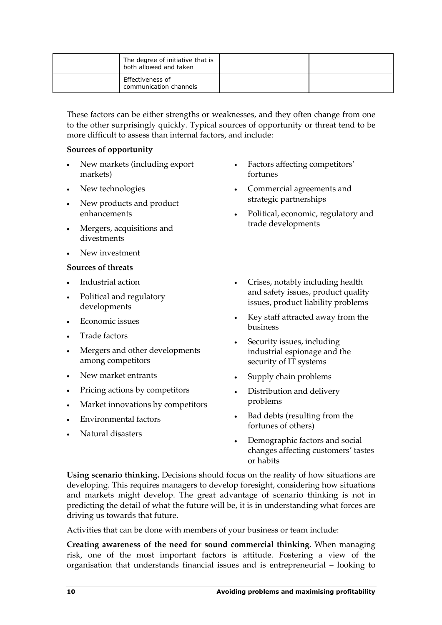| The degree of initiative that is<br>both allowed and taken |  |
|------------------------------------------------------------|--|
| Effectiveness of<br>communication channels                 |  |

These factors can be either strengths or weaknesses, and they often change from one to the other surprisingly quickly. Typical sources of opportunity or threat tend to be more difficult to assess than internal factors, and include:

### Sources of opportunity

- New markets (including export markets)
- New technologies
- New products and product enhancements
- Mergers, acquisitions and divestments
- New investment

### Sources of threats

- Industrial action
- Political and regulatory developments
- Economic issues
- Trade factors
- Mergers and other developments among competitors
- New market entrants
- Pricing actions by competitors
- Market innovations by competitors
- Environmental factors
- Natural disasters
- Factors affecting competitors' fortunes
- Commercial agreements and strategic partnerships
- Political, economic, regulatory and trade developments
- Crises, notably including health and safety issues, product quality issues, product liability problems
- Key staff attracted away from the business
- Security issues, including industrial espionage and the security of IT systems
- Supply chain problems
- Distribution and delivery problems
- Bad debts (resulting from the fortunes of others)
- Demographic factors and social changes affecting customers' tastes or habits

Using scenario thinking. Decisions should focus on the reality of how situations are developing. This requires managers to develop foresight, considering how situations and markets might develop. The great advantage of scenario thinking is not in predicting the detail of what the future will be, it is in understanding what forces are driving us towards that future.

Activities that can be done with members of your business or team include:

Creating awareness of the need for sound commercial thinking. When managing risk, one of the most important factors is attitude. Fostering a view of the organisation that understands financial issues and is entrepreneurial – looking to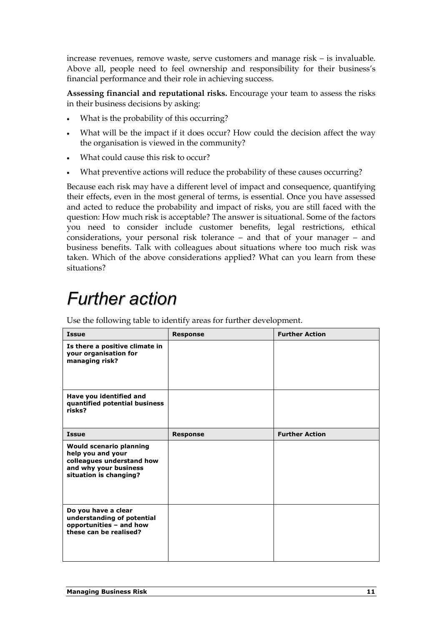increase revenues, remove waste, serve customers and manage risk – is invaluable. Above all, people need to feel ownership and responsibility for their business's financial performance and their role in achieving success.

Assessing financial and reputational risks. Encourage your team to assess the risks in their business decisions by asking:

- What is the probability of this occurring?
- What will be the impact if it does occur? How could the decision affect the way the organisation is viewed in the community?
- What could cause this risk to occur?
- What preventive actions will reduce the probability of these causes occurring?

Because each risk may have a different level of impact and consequence, quantifying their effects, even in the most general of terms, is essential. Once you have assessed and acted to reduce the probability and impact of risks, you are still faced with the question: How much risk is acceptable? The answer is situational. Some of the factors you need to consider include customer benefits, legal restrictions, ethical considerations, your personal risk tolerance – and that of your manager – and business benefits. Talk with colleagues about situations where too much risk was taken. Which of the above considerations applied? What can you learn from these situations?

### Further action

Use the following table to identify areas for further development.

| <b>Issue</b>                                                                                                                        | <b>Response</b> | <b>Further Action</b> |
|-------------------------------------------------------------------------------------------------------------------------------------|-----------------|-----------------------|
| Is there a positive climate in<br>your organisation for<br>managing risk?                                                           |                 |                       |
| Have you identified and<br>quantified potential business<br>risks?                                                                  |                 |                       |
| <b>Issue</b>                                                                                                                        | <b>Response</b> | <b>Further Action</b> |
| <b>Would scenario planning</b><br>help you and your<br>colleagues understand how<br>and why your business<br>situation is changing? |                 |                       |
| Do you have a clear<br>understanding of potential<br>opportunities - and how<br>these can be realised?                              |                 |                       |